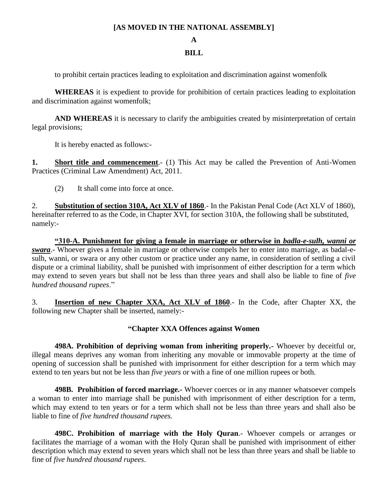## **[AS MOVED IN THE NATIONAL ASSEMBLY]**

**A**

## **BILL**

to prohibit certain practices leading to exploitation and discrimination against womenfolk

**WHEREAS** it is expedient to provide for prohibition of certain practices leading to exploitation and discrimination against womenfolk;

AND WHEREAS it is necessary to clarify the ambiguities created by misinterpretation of certain legal provisions;

It is hereby enacted as follows:-

**1. Short title and commencement**.- (1) This Act may be called the Prevention of Anti-Women Practices (Criminal Law Amendment) Act, 2011.

(2) It shall come into force at once.

2. **Substitution of section 310A, Act XLV of 1860**.- In the Pakistan Penal Code (Act XLV of 1860), hereinafter referred to as the Code, in Chapter XVI, for section 310A, the following shall be substituted, namely:-

**"310-A. Punishment for giving a female in marriage or otherwise in** *badla-e-sulh, wanni or swara*.- Whoever gives a female in marriage or otherwise compels her to enter into marriage, as badal-esulh, wanni, or swara or any other custom or practice under any name, in consideration of settling a civil dispute or a criminal liability, shall be punished with imprisonment of either description for a term which may extend to seven years but shall not be less than three years and shall also be liable to fine of *five hundred thousand rupees*."

3. **Insertion of new Chapter XXA, Act XLV of 1860**.- In the Code, after Chapter XX, the following new Chapter shall be inserted, namely:-

## **"Chapter XXA Offences against Women**

**498A. Prohibition of depriving woman from inheriting properly.-** Whoever by deceitful or, illegal means deprives any woman from inheriting any movable or immovable property at the time of opening of succession shall be punished with imprisonment for either description for a term which may extend to ten years but not be less than *five years* or with a fine of one million rupees or both.

**498B. Prohibition of forced marriage.-** Whoever coerces or in any manner whatsoever compels a woman to enter into marriage shall be punished with imprisonment of either description for a term, which may extend to ten years or for a term which shall not be less than three years and shall also be liable to fine of *five hundred thousand rupees.*

**498C. Prohibition of marriage with the Holy Quran**.- Whoever compels or arranges or facilitates the marriage of a woman with the Holy Quran shall be punished with imprisonment of either description which may extend to seven years which shall not be less than three years and shall be liable to fine of *five hundred thousand rupees*.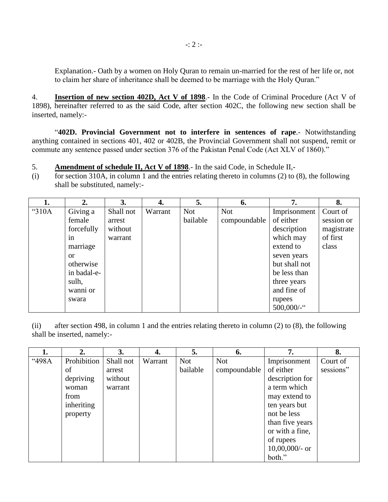Explanation.- Oath by a women on Holy Quran to remain un-married for the rest of her life or, not to claim her share of inheritance shall be deemed to be marriage with the Holy Quran."

4. **Insertion of new section 402D, Act V of 1898**.- In the Code of Criminal Procedure (Act V of 1898), hereinafter referred to as the said Code, after section 402C, the following new section shall be inserted, namely:-

"**402D. Provincial Government not to interfere in sentences of rape**.- Notwithstanding anything contained in sections 401, 402 or 402B, the Provincial Government shall not suspend, remit or commute any sentence passed under section 376 of the Pakistan Penal Code (Act XLV of 1860)."

5. **Amendment of schedule II, Act V of 1898**.- In the said Code, in Schedule II,-

(i) for section 310A, in column 1 and the entries relating thereto in columns (2) to (8), the following shall be substituted, namely:-

|       | $\overline{2}$ . | 3.        | 4.      | 5.         | 6.           | 7.            | 8.         |
|-------|------------------|-----------|---------|------------|--------------|---------------|------------|
| "310A | Giving a         | Shall not | Warrant | <b>Not</b> | <b>Not</b>   | Imprisonment  | Court of   |
|       | female           | arrest    |         | bailable   | compoundable | of either     | session or |
|       | forcefully       | without   |         |            |              | description   | magistrate |
|       | in               | warrant   |         |            |              | which may     | of first   |
|       | marriage         |           |         |            |              | extend to     | class      |
|       | <sub>or</sub>    |           |         |            |              | seven years   |            |
|       | otherwise        |           |         |            |              | but shall not |            |
|       | in badal-e-      |           |         |            |              | be less than  |            |
|       | sulh,            |           |         |            |              | three years   |            |
|       | wanni or         |           |         |            |              | and fine of   |            |
|       | swara            |           |         |            |              | rupees        |            |
|       |                  |           |         |            |              | 500,000/-"    |            |

(ii) after section 498, in column 1 and the entries relating thereto in column (2) to (8), the following shall be inserted, namely:-

|       | 2.                       | 3.        | 4.      | 5.         | 6.           | 7.                | 8.        |
|-------|--------------------------|-----------|---------|------------|--------------|-------------------|-----------|
| "498A | Prohibition <sup>1</sup> | Shall not | Warrant | <b>Not</b> | <b>Not</b>   | Imprisonment      | Court of  |
|       | of                       | arrest    |         | bailable   | compoundable | of either         | sessions" |
|       | depriving                | without   |         |            |              | description for   |           |
|       | woman                    | warrant   |         |            |              | a term which      |           |
|       | from                     |           |         |            |              | may extend to     |           |
|       | inheriting               |           |         |            |              | ten years but     |           |
|       | property                 |           |         |            |              | not be less       |           |
|       |                          |           |         |            |              | than five years   |           |
|       |                          |           |         |            |              | or with a fine,   |           |
|       |                          |           |         |            |              | of rupees         |           |
|       |                          |           |         |            |              | $10,00,000/$ - or |           |
|       |                          |           |         |            |              | both."            |           |